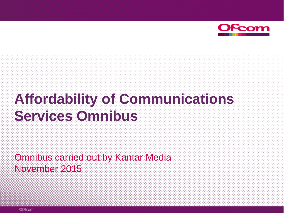

# **Affordability of Communications Services Omnibus**

Omnibus carried out by Kantar Media November 2015

©Ofcom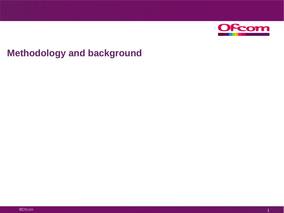

## **Methodology and background**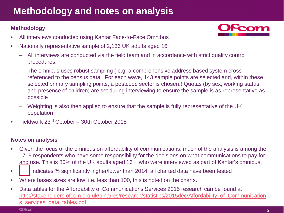## **Methodology and notes on analysis**

### **Methodology**

- All interviews conducted using Kantar Face-to-Face Omnibus
- Nationally representative sample of 2,136 UK adults aged 16+
	- All interviews are conducted via the field team and in accordance with strict quality control procedures.
	- The omnibus uses robust sampling ( e.g. a comprehensive address based system cross referenced to the census data. For each wave, 143 sample points are selected and, within these selected primary sampling points, a postcode sector is chosen.) Quotas (by sex, working status and presence of children) are set during interviewing to ensure the sample is as representative as possible
	- Weighting is also then applied to ensure that the sample is fully representative of the UK population
- Fieldwork 23rd October 30th October 2015

#### **Notes on analysis**

- Given the focus of the omnibus on affordability of communications, much of the analysis is among the 1719 respondents who have some responsibility for the decisions on what communications to pay for and use. This is 80% of the UK adults aged 16+ who were interviewed as part of Kantar's omnibus.
- **i** indicates % significantly higher/lower than 2014, all charted data have been tested
- Where bases sizes are low, i.e. less than 100, this is noted on the charts.
- Data tables for the Affordability of Communications Services 2015 research can be found at [http://stakeholders.ofcom.org.uk/binaries/research/statistics/2015dec/Affordability\\_of\\_Communication](http://stakeholders.ofcom.org.uk/binaries/research/statistics/2015dec/Affordability_of_Communications_services_data_tables.pdf) s services data tables.pdf

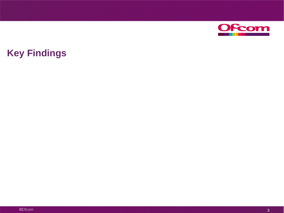

## **Key Findings**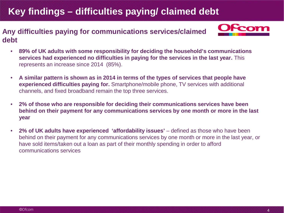## **Key findings – difficulties paying/ claimed debt**

### **Any difficulties paying for communications services/claimed debt**



- **89% of UK adults with some responsibility for deciding the household's communications services had experienced no difficulties in paying for the services in the last year.** This represents an increase since 2014 (85%).
- **A similar pattern is shown as in 2014 in terms of the types of services that people have experienced difficulties paying for.** Smartphone/mobile phone, TV services with additional channels, and fixed broadband remain the top three services.
- **2% of those who are responsible for deciding their communications services have been behind on their payment for any communications services by one month or more in the last year**
- 2% of UK adults have experienced 'affordability issues' defined as those who have been behind on their payment for any communications services by one month or more in the last year, or have sold items/taken out a loan as part of their monthly spending in order to afford communications services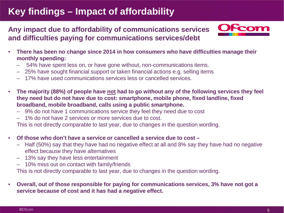## **Key findings – Impact of affordability**

**Any impact due to affordability of communications services and difficulties paying for communications services/debt** 



- **There has been no change since 2014 in how consumers who have difficulties manage their monthly spending:**
	- 54% have spent less on, or have gone without, non-communications items.
	- 25% have sought financial support or taken financial actions e.g. selling items
	- 17% have used communications services less or cancelled services.
- **The majority (88%) of people have not had to go without any of the following services they feel they need but do not have due to cost: smartphone, mobile phone, fixed landline, fixed broadband, mobile broadband, calls using a public smartphone.**
	- 9% do not have 1 communications service they feel they need due to cost
	- 1% do not have 2 services or more services due to cost.

This is not directly comparable to last year, due to changes in the question wording.

- **Of those who don't have a service or cancelled a service due to cost –**
	- Half (50%) say that they have had no negative effect at all and 8% say they have had no negative effect because they have alternatives
	- 13% say they have less entertainment
	- 10% miss out on contact with family/friends

This is not directly comparable to last year, due to changes in the question wording.

• **Overall, out of those responsible for paying for communications services, 3% have not got a service because of cost and it has had a negative effect.**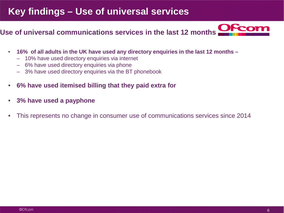## **Key findings – Use of universal services**

### **Use of universal communications services in the last 12 months**

- **16% of all adults in the UK have used any directory enquiries in the last 12 months –**
	- 10% have used directory enquiries via internet
	- 6% have used directory enquiries via phone
	- 3% have used directory enquiries via the BT phonebook
- **6% have used itemised billing that they paid extra for**
- **3% have used a payphone**
- This represents no change in consumer use of communications services since 2014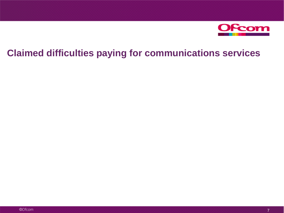

## **Claimed difficulties paying for communications services**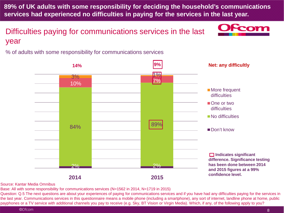**89% of UK adults with some responsibility for deciding the household's communications services had experienced no difficulties in paying for the services in the last year.** 

Difficulties paying for communications services in the last year

% of adults with some responsibility for communications services



Source: Kantar Media Omnibus

Base: All with some responsibility for communications services (N=1562 in 2014, N=1719 in 2015)

Question: Q.5 The next questions are about your experiences of paying for communications services and if you have had any difficulties paying for the services in the last year. Communications services in this questionnaire means a mobile phone (including a smartphone), any sort of internet, landline phone at home, public payphones or a TV service with additional channels you pay to receive (e.g. Sky, BT Vision or Virgin Media). Which, if any, of the following apply to you?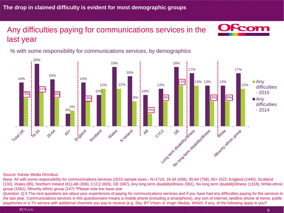### Any difficulties paying for communications services in the last year



% with some responsibility for communications services, by demographics



#### Source: Kantar Media Omnibus

Base: All with some responsibility for communications services (2015 sample sizes - N=1719, 16-34 (439), 35-64 (758), 65+ (522, England (1440), Scotland (133), Wales (85), Northern Ireland (61),AB (306), C1C2 (826), DE (587), Any long term disability\illness (361), No long term disability\illness (1318), White ethnic group (1561), Minority ethnic group (147) \*Please note low base size

Question: Q.5 The next questions are about your experiences of paying for communications services and if you have had any difficulties paying for the services in the last year. Communications services in this questionnaire means a mobile phone (including a smartphone), any sort of internet, landline phone at home, public payphones or a TV service with additional channels you pay to receive (e.g. Sky, BT Vision or Virgin Media). Which, if any, of the following apply to you?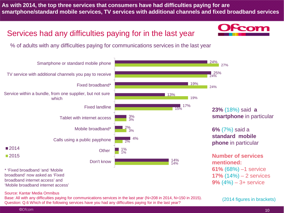**As with 2014, the top three services that consumers have had difficulties paying for are smartphone/standard mobile services, TV services with additional channels and fixed broadband services**

### Services had any difficulties paying for in the last year



% of adults with any difficulties paying for communications services in the last year



broadband internet access' and 'Mobile broadband internet access'

Source: Kantar Media Omnibus

Base: All with any difficulties paying for communications services in the last year (N=208 in 2014, N=150 in 2015). Question: Q.6 Which of the following services have you had any difficulties paying for in the last year?

(2014 figures in brackets)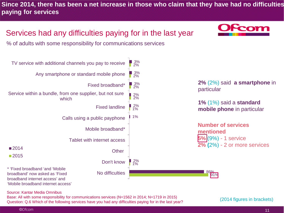**Since 2014, there has been a net increase in those who claim that they have had no difficulties paying for services**

## Services had any difficulties paying for in the last year

% of adults with some responsibility for communications services





**2%** (2%) said **a smartphone** in particular

**1%** (1%) said a **standard mobile phone** in particular

**Number of services mentioned 5%** (9%) - 1 service **2% (**2%) - 2 or more services

> 86% 91%

Source: Kantar Media Omnibus

Base: All with some responsibility for communications services (N=1562 in 2014; N=1719 in 2015) Question: Q.6 Which of the following services have you had any difficulties paying for in the last year?

(2014 figures in brackets)

#### ©Ofcom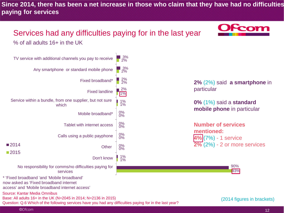**Since 2014, there has been a net increase in those who claim that they have had no difficulties paying for services**

### Services had any difficulties paying for in the last year % of all adults 16+ in the UK



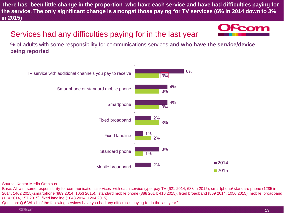**There has been little change in the proportion who have each service and have had difficulties paying for the service. The only significant change is amongst those paying for TV services (6% in 2014 down to 3% in 2015)**

### Services had any difficulties paying for in the last year



% of adults with some responsibility for communications services **and who have the service/device being reported**



Source: Kantar Media Omnibus

Base: All with some responsibility for communications services with each service type, pay TV (621 2014, 688 in 2015), smartphone/ standard phone (1285 in 2014, 1402 2015),smartphone (889 2014, 1053 2015), standard mobile phone (388 2014; 410 2015), fixed broadband (869 2014, 1050 2015), mobile broadband (114 2014, 157 2015), fixed landline (1048 2014, 1204 2015) Question: Q.6 Which of the following services have you had any difficulties paying for in the last year?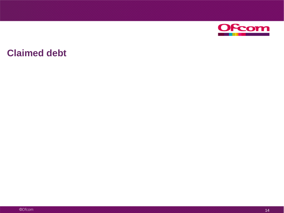

## **Claimed debt**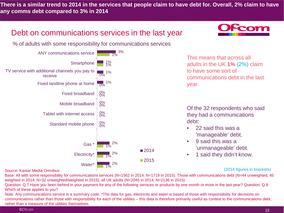**There is a similar trend to 2014 in the services that people claim to have debt for. Overall, 2% claim to have any comms debt compared to 3% in 2014**

### Debt on communications services in the last year

% of adults with some responsibility for communications services



#### Source: Kantar Media Omnibus

(2014 figures in brackets)

Base: All with some responsibility for communications services (N=1562 in 2014; N=1719 in 2015). Those with communications debt (N=44 unweighted, 45 weighted in 2014; N=32 unweighted/weighted in 2015), all UK adults (N=2045 in 2014; N=2136 in 2015)

Question: Q.7 Have you been behind in your payment for any of the following services or products by one month or more in the last year? Question: Q.8 Which of these applies to you?

Note: Any communications service is a summary code. \*The data for gas, electricity and water is based of those with responsibility for decisions on communications rather than those with responsibility for each of the utilities – this data is therefore primarily useful as context to the communications debt, rather than a measure of the utilities themselves.

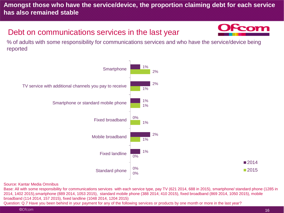### **Amongst those who have the service/device, the proportion claiming debt for each service has also remained stable**

### Debt on communications services in the last year



% of adults with some responsibility for communications services and who have the service/device being reported



#### Source: Kantar Media Omnibus

Base: All with some responsibility for communications services with each service type, pay TV (621 2014, 688 in 2015), smartphone/ standard phone (1285 in 2014, 1402 2015),smartphone (889 2014, 1053 2015), standard mobile phone (388 2014; 410 2015), fixed broadband (869 2014, 1050 2015), mobile broadband (114 2014, 157 2015), fixed landline (1048 2014, 1204 2015)

Question: Q.7 Have you been behind in your payment for any of the following services or products by one month or more in the last year?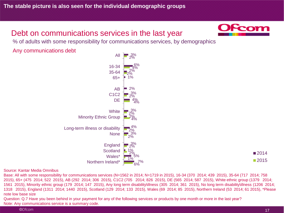### Debt on communications services in the last year



% of adults with some responsibility for communications services, by demographics

Any communications debt



■2014 ■2015

#### Source: Kantar Media Omnibus

Base: All with some responsibility for communications services (N=1562 in 2014; N=1719 in 2015), 16-34 (370 2014; 439 2015), 35-64 (717 2014; 758 2015), 65+ (475 2014; 522 2015), AB (292 2014; 306 2015), C1C2 (705 2014; 826 2015), DE (565 2014; 587 2015), White ethnic group (1379 2014; 1561 2015), Minority ethnic group (179 2014; 147 2015), Any long term disability\illness (305 2014; 361 2015), No long term disability\illness (1206 2014; 1318 2015), England (1311 2014; 1440 2015), Scotland (129 2014; 133 2015), Wales (69 2014; 85 2015), Northern Ireland (53 2014; 61 2015), \*Please note low base size

Question: Q.7 Have you been behind in your payment for any of the following services or products by one month or more in the last year? Note: Any communications service is a summary code.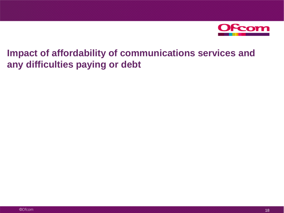

**Impact of affordability of communications services and any difficulties paying or debt**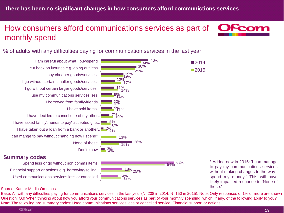### How consumers afford communications services as part of monthly spend



% of adults with any difficulties paying for communication services in the last year

I am careful about what I buy\spend I cut back on luxuries e.g. going out less I buy cheaper goods\services I go without certain smaller goods\services I go without certain larger goods\services I use my communications services less I borrowed from family\friends I have sold items I have decided to cancel one of my other… I have asked family\friends to pay\ accepted gifts… I have taken out a loan from a bank or another… I can mange to pay without changing how I spend\* None of these Don't know

Spend less or go without non comms items Financial support or actions e.g. borrowing/selling Used communications services less or cancelled…



to pay my communications services without making changes to the way I spend my money.' This will have likely impacted response to 'None of these.'

#### Source: Kantar Media Omnibus

Base: All with any difficulties paying for communications services in the last year (N=208 in 2014, N=150 in 2015). Note: Only responses of 1% or more are shown Question: Q.9 When thinking about how you afford your communications services as part of your monthly spending, which, if any, of the following apply to you? Note: The following are summary codes: Used communications services less or cancelled service, Financial support or actions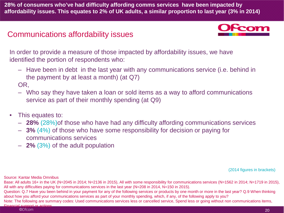**28% of consumers who've had difficulty affording comms services have been impacted by affordability issues. This equates to 2% of UK adults, a similar proportion to last year (3% in 2014)**

### Communications affordability issues



In order to provide a measure of those impacted by affordability issues, we have identified the portion of respondents who:

– Have been in debt in the last year with any communications service (i.e. behind in the payment by at least a month) (at Q7)

OR,

- Who say they have taken a loan or sold items as a way to afford communications service as part of their monthly spending (at Q9)
- This equates to:
	- **28%** (28%)of those who have had any difficulty affording communications services
	- **3%** (4%) of those who have some responsibility for decision or paying for communications services
	- **2%** (3%) of the adult population

(2014 figures in brackets)

Source: Kantar Media Omnibus

Base: All adults 16+ in the UK (N=2045 in 2014; N=2136 in 2015), All with some responsibility for communications services (N=1562 in 2014; N=1719 in 2015), All with any difficulties paying for communications services in the last year (N=208 in 2014, N=150 in 2015).

Question: Q.7 Have you been behind in your payment for any of the following services or products by one month or more in the last year? Q.9 When thinking about how you afford your communications services as part of your monthly spending, which, if any, of the following apply to you?

Note: The following are summary codes: Used communications services less or cancelled service, Spend less or going without non communications items, Financial support or actions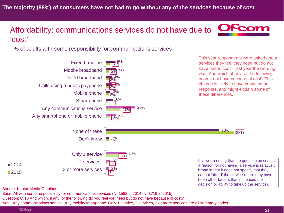### Affordability: communications services do not have due to 'cost'

% of adults with some responsibility for communications services



Source: Kantar Media Omnibus

Base: All with some responsibility for communications services (N=1562 in 2014; N=1719 in 2015).

Question: Q.10 And which, if any, of the following do you feel you need but do not have because of cost?

Note: Any communications service, Any mobile/smartphone, Only 1 service, 2 services, 3 or more services are all summary codes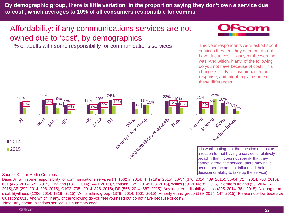**By demographic group, there is little variation in the proportion saying they don't own a service due to cost , which averages to 10% of all consumers responsible for comms**

### Affordability: if any communications services are not owned due to 'cost', by demographics

% of adults with some responsibility for communications services



This year respondents were asked about services they feel they need but do not have due to cost – last year the wording was 'And which, if any, of the following do you not have because of cost'. This change is likely to have impacted on response, and might explain some of these differences.



#### Source: Kantar Media Omnibus

Base: All with some responsibility for communications services (N=1562 in 2014; N=1719 in 2015), 16-34 (370 2014; 439 2015), 35-64 (717 2014; 758 2015), 65+ (475 2014; 522 2015), England (1311 2014; 1440 2015), Scotland (129 2014; 133 2015), Wales (69 2014; 85 2015), Northern Ireland (53 2014; 61 2015),AB (292 2014; 306 2015), C1C2 (705 2014; 826 2015), DE (565 2014; 587 2015), Any long term disability\illness (305 2014; 361 2015), No long term disability\illness (1206 2014; 1318 2015), White ethnic group (1379 2014; 1561 2015), Minority ethnic group (179 2014; 147 2015) \*Please note low base size Question: Q.10 And which, if any, of the following do you feel you need but do not have because of cost? Note: Any communications service is a summary code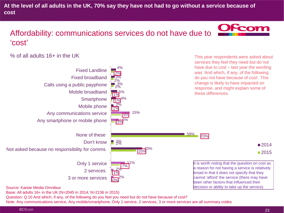**At the level of all adults in the UK, 70% say they have not had to go without a service because of cost**

### Affordability: communications services do not have due to 'cost'

% of all adults 16+ in the UK



Question: Q.10 And which, if any, of the following do you feel you need but do not have because of cost? Note: Any communications service, Any mobile/smartphone, Only 1 service, 2 services, 3 or more services are all summary codes



This year respondents were asked about services they feel they need but do not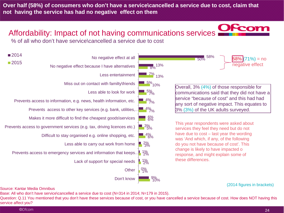**Over half (58%) of consumers who don't have a service\cancelled a service due to cost, claim that not having the service has had no negative effect on them**

### Affordability: Impact of not having communications services

% of all who don't have service\cancelled a service due to cost



Source: Kantar Media Omnibus

Base: All who don't have service\cancelled a service due to cost (N=314 in 2014; N=179 in 2015).

Question: Q.11 You mentioned that you don't have these services because of cost, or you have cancelled a service because of cost. How does NOT having this service affect you?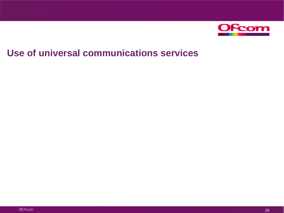

## **Use of universal communications services**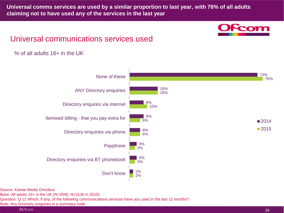**Universal comms services are used by a similar proportion to last year, with 76% of all adults claiming not to have used any of the services in the last year**



### Universal communications services used

#### % of all adults 16+ in the UK



Source: Kantar Media Omnibus

Base: All adults 16+ in the UK (N=2045; N=2136 in 2015)

Question: Q.12 Which, if any, of the following communications services have you used in the last 12 months?

Note: Any Directory enquiries is a summary code